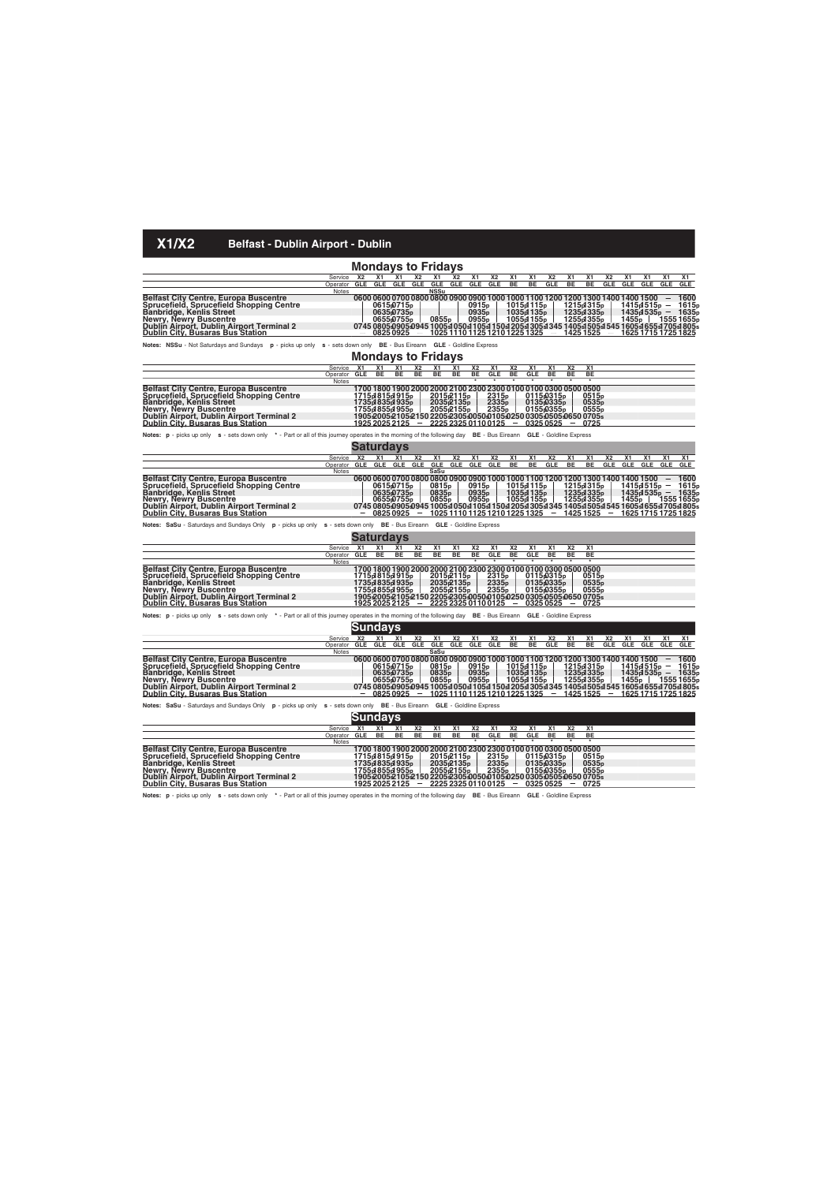|                                                                                                                                                                                                                                                                                    |                       |                       |                  |                                                              |                              | <b>Mondays to Fridays</b>              |                                                  |                                     |                                                                                     |                                      |                       |                                                             |                      |                                                 |                                                                                                                                                                                            |                       |                            |            |                                                  |
|------------------------------------------------------------------------------------------------------------------------------------------------------------------------------------------------------------------------------------------------------------------------------------|-----------------------|-----------------------|------------------|--------------------------------------------------------------|------------------------------|----------------------------------------|--------------------------------------------------|-------------------------------------|-------------------------------------------------------------------------------------|--------------------------------------|-----------------------|-------------------------------------------------------------|----------------------|-------------------------------------------------|--------------------------------------------------------------------------------------------------------------------------------------------------------------------------------------------|-----------------------|----------------------------|------------|--------------------------------------------------|
| Service                                                                                                                                                                                                                                                                            |                       | <b>X2</b>             | <b>X1</b>        | <b>X1</b>                                                    | <b>X2</b>                    | X1                                     | <b>X2</b>                                        | X1                                  | <b>X2</b>                                                                           | X1                                   | Х1                    | X <sub>2</sub>                                              | X1                   | X1                                              | Х2                                                                                                                                                                                         | X1                    | X1                         | Х1         | Х1                                               |
|                                                                                                                                                                                                                                                                                    | Operator GLE<br>Notes |                       |                  | GLE GLE GLE                                                  |                              | GLE GLE<br>NSSu                        |                                                  |                                     | GLE GLE                                                                             | BE                                   | BE                    | GLE                                                         | BE                   | BE                                              | <b>GLE</b>                                                                                                                                                                                 | GLE                   | GLE                        | <b>GLE</b> | <b>GLE</b>                                       |
| Belfast City Centre, Europa Buscentre<br>Sprucefield, Sprucefield Shopping Centre<br>Banbridge, Kenlis Street<br>Newry, Newry Buscentre<br>Dublin Airport, Dublin Airport Terminal 2                                                                                               |                       |                       |                  | 0615թ0715թ<br>0635 <sub>0735p</sub><br>0655p755 <sub>p</sub> |                              | 0855p                                  |                                                  | 0915p<br>0935p<br>0955 <sub>p</sub> |                                                                                     | 1015p1115 <sub>p</sub><br>1055p1155p | 1035d135 <sub>p</sub> |                                                             |                      | 1215p1315p<br>1235p1335p<br>1255p1355p          | 0600 0600 0700 0800 0800 0900 0900 1000 1000 1100 1200 1200 1300 1400 1400 1500<br>0745 0805 0905 0945 1005 1050 1 105 1 150 1 205 1 305 1 345 1 405 1 505 1 545 1 605 1 655 1 705 1 805 s | 1455 <sub>p</sub>     | 1415d515p<br>1435p1535p    |            | 1600<br>1615p<br>1635p<br>1555 1655 <sub>p</sub> |
| <u> Dublin City, Busaras Bus Station</u>                                                                                                                                                                                                                                           |                       |                       |                  | 08250925                                                     |                              |                                        |                                                  |                                     | 1025 1110 1125 1210 1225 1325                                                       |                                      |                       | $ \,$                                                       |                      | 1425 1525                                       |                                                                                                                                                                                            |                       | <u>1625 1715 1725 1825</u> |            |                                                  |
| Notes: NSSu - Not Saturdays and Sundays p - picks up only s - sets down only BE - Bus Eireann GLE - Goldline Express                                                                                                                                                               |                       |                       |                  |                                                              |                              |                                        |                                                  |                                     |                                                                                     |                                      |                       |                                                             |                      |                                                 |                                                                                                                                                                                            |                       |                            |            |                                                  |
|                                                                                                                                                                                                                                                                                    |                       |                       |                  |                                                              |                              | <b>Mondays to Fridays</b>              |                                                  |                                     |                                                                                     |                                      |                       |                                                             |                      |                                                 |                                                                                                                                                                                            |                       |                            |            |                                                  |
| <b>X2</b><br>X1<br>Service<br><b>X1</b><br>X1<br>X <sub>1</sub><br>X <sub>1</sub><br>X1<br>X2<br>X <sub>1</sub><br><b>X2</b><br><b>X1</b><br>X <sub>1</sub><br><b>X2</b><br><b>GLE</b><br>BE<br>BE<br>Operator GLE<br>BE<br>BE<br>BE<br>BE<br>BE<br>ВE<br>BЕ<br>GLE<br>BE<br>Notes |                       |                       |                  |                                                              |                              |                                        |                                                  |                                     |                                                                                     |                                      |                       |                                                             |                      |                                                 |                                                                                                                                                                                            |                       |                            |            |                                                  |
|                                                                                                                                                                                                                                                                                    |                       |                       |                  |                                                              |                              |                                        |                                                  |                                     |                                                                                     |                                      |                       |                                                             |                      |                                                 |                                                                                                                                                                                            |                       |                            |            |                                                  |
|                                                                                                                                                                                                                                                                                    |                       |                       |                  |                                                              |                              |                                        |                                                  |                                     |                                                                                     |                                      |                       |                                                             |                      |                                                 |                                                                                                                                                                                            |                       |                            |            |                                                  |
| Belfast City Centre, Europa Buscentre<br>Sprucefield, Sprucefield Shopping Centre                                                                                                                                                                                                  |                       |                       |                  | 1715d815d915 <sub>p</sub>                                    |                              |                                        | 2015 <sub>p</sub> 2115 <sub>p</sub>              |                                     | 1700 1800 1900 2000 2000 2100 2300 2300 0100 0100 0300 0500 0500                    |                                      |                       | 0115 <sub>p</sub> 0315 <sub>p</sub>                         |                      | 0515p                                           |                                                                                                                                                                                            |                       |                            |            |                                                  |
| Banbridge, Kenlis Street                                                                                                                                                                                                                                                           |                       |                       |                  | 1735d 835d 935 <sub>p</sub>                                  |                              |                                        |                                                  |                                     | 2315p<br>2335p                                                                      |                                      |                       | 0135 <sub>0</sub> 335 <sub>p</sub>                          |                      | 0535p                                           |                                                                                                                                                                                            |                       |                            |            |                                                  |
| Newry, Newry Buscentre                                                                                                                                                                                                                                                             |                       |                       |                  | 1755d 855d 955 <sub>p</sub>                                  |                              |                                        | 2035-2135 <sub>p</sub><br>2055-2155 <sub>p</sub> |                                     | 2355 <sub>p</sub>                                                                   |                                      |                       | 01550355 <sub>p</sub>                                       |                      | 0555p                                           |                                                                                                                                                                                            |                       |                            |            |                                                  |
| Dublin Airport, Dublin Airport Terminal 2<br><u> Dublin City, Busaras Bus Station</u>                                                                                                                                                                                              |                       |                       |                  | <u>1925 2025 2125</u>                                        |                              |                                        |                                                  |                                     | 1905200521052150220523050050010502500305050506500705s<br><u>2225 2325 0110 0125</u> |                                      |                       | 0325 0525                                                   |                      | 0725                                            |                                                                                                                                                                                            |                       |                            |            |                                                  |
|                                                                                                                                                                                                                                                                                    |                       |                       |                  |                                                              |                              |                                        |                                                  |                                     |                                                                                     |                                      |                       |                                                             |                      |                                                 |                                                                                                                                                                                            |                       |                            |            |                                                  |
| Notes: p - picks up only s - sets down only * - Part or all of this journey operates in the morning of the following day BE - Bus Eireann GLE - Goldline Express                                                                                                                   |                       |                       |                  |                                                              |                              |                                        |                                                  |                                     |                                                                                     |                                      |                       |                                                             |                      |                                                 |                                                                                                                                                                                            |                       |                            |            |                                                  |
|                                                                                                                                                                                                                                                                                    |                       |                       |                  | Saturdays                                                    |                              |                                        |                                                  |                                     |                                                                                     |                                      |                       |                                                             |                      |                                                 |                                                                                                                                                                                            |                       |                            |            |                                                  |
| Service                                                                                                                                                                                                                                                                            |                       | <b>X2</b>             | X1               | X1                                                           | <b>X2</b>                    | X1                                     | Х2                                               | X1                                  | Х2                                                                                  | X1                                   | X1                    | <b>X2</b>                                                   | X1                   | X1                                              | <b>X2</b>                                                                                                                                                                                  | X1                    | X1                         | X1         | <b>X1</b>                                        |
| Operator                                                                                                                                                                                                                                                                           |                       | <b>GLE</b>            | <b>GLE</b>       | GLE                                                          | <b>GLE</b>                   | <b>GLE</b>                             | <b>GLE</b>                                       | <b>GLE</b>                          | GLE                                                                                 | BE                                   | BE                    | GLE                                                         | BE                   | BE                                              | <b>GLE</b>                                                                                                                                                                                 | GLE                   | GLE                        | <b>GLE</b> | <b>GLE</b>                                       |
|                                                                                                                                                                                                                                                                                    | Notes                 |                       |                  |                                                              |                              | SaSu                                   |                                                  |                                     |                                                                                     |                                      |                       |                                                             |                      |                                                 |                                                                                                                                                                                            |                       |                            |            |                                                  |
| Belfast City Centre, Europa Buscentre<br>Sprucefield, Sprucefield Shopping Centre                                                                                                                                                                                                  |                       |                       |                  | 0615p0715p                                                   |                              | 0815 <sub>p</sub>                      |                                                  | 0915 <sub>p</sub>                   |                                                                                     | 1015p1115 <sub>p</sub>               |                       |                                                             |                      | 1215p1315 <sub>p</sub>                          | 0600 0600 0700 0800 0800 0900 0900 1000 1000 1100 1200 1200 1300 1400 1400 1500                                                                                                            |                       | 1415թ1515թ                 |            | 1600<br>1615p                                    |
| Banbridge, Kenlis Street                                                                                                                                                                                                                                                           |                       |                       |                  | 0635 <sub>0735p</sub>                                        |                              | 0835 <sub>p</sub>                      |                                                  | 0935 <sub>p</sub>                   |                                                                                     |                                      | 1035d135 <sub>p</sub> |                                                             |                      | 1235d335 <sub>p</sub>                           |                                                                                                                                                                                            |                       | 1435d535 <sub>p</sub>      |            | 1635p                                            |
| Newry, Newry Buscentre                                                                                                                                                                                                                                                             |                       |                       |                  | 0655p0755 <sub>p</sub>                                       |                              | 0855 <sub>p</sub>                      |                                                  | 0955 <sub>p</sub>                   |                                                                                     | 1055p1155p                           |                       |                                                             |                      | 1255p1355p                                      |                                                                                                                                                                                            | 1455 <sub>p</sub>     |                            |            | 1555 1655թ                                       |
| Dublin Airport, Dublin Airport Terminal 2<br><u> Dublin City, Busaras Bus Station</u>                                                                                                                                                                                              |                       |                       |                  | 08250925                                                     |                              |                                        |                                                  |                                     | 1025 1110 1125 1210 1225 1325                                                       |                                      |                       |                                                             |                      | $-14251525$                                     | 0745 080509050945 1005sl 050sl 105sl 150sl 205sl 305sl 345 1405sl 505sl 545 1605sl 655sl 705sl 805s                                                                                        |                       | 1625 1715 1725 1825        |            |                                                  |
|                                                                                                                                                                                                                                                                                    |                       |                       |                  |                                                              |                              |                                        |                                                  |                                     |                                                                                     |                                      |                       |                                                             |                      |                                                 |                                                                                                                                                                                            |                       |                            |            |                                                  |
| Notes: SaSu - Saturdays and Sundays Only p - picks up only s - sets down only BE - Bus Eireann GLE - Goldline Express                                                                                                                                                              |                       |                       |                  |                                                              |                              |                                        |                                                  |                                     |                                                                                     |                                      |                       |                                                             |                      |                                                 |                                                                                                                                                                                            |                       |                            |            |                                                  |
|                                                                                                                                                                                                                                                                                    |                       |                       |                  | Saturdays                                                    |                              |                                        |                                                  |                                     |                                                                                     |                                      |                       |                                                             |                      |                                                 |                                                                                                                                                                                            |                       |                            |            |                                                  |
| Service                                                                                                                                                                                                                                                                            |                       | X <sub>1</sub><br>GLE | Х1<br><b>BE</b>  | X1<br>BE                                                     | X2<br>BE                     | X1<br>BE                               | Х1<br>ВE                                         | X <sub>2</sub><br>BЕ                | X <sub>1</sub><br>GLE                                                               | Х2<br>BE                             | <b>X1</b><br>GLE      | <b>X1</b><br>BE                                             | X <sub>2</sub><br>BЕ | X <sub>1</sub><br>BE                            |                                                                                                                                                                                            |                       |                            |            |                                                  |
| Operator                                                                                                                                                                                                                                                                           | <b>Notes</b>          |                       |                  |                                                              |                              |                                        |                                                  |                                     |                                                                                     |                                      |                       |                                                             |                      |                                                 |                                                                                                                                                                                            |                       |                            |            |                                                  |
| Belfast City Centre, Europa Buscentre                                                                                                                                                                                                                                              |                       |                       |                  |                                                              |                              |                                        |                                                  |                                     | 1700 1800 1900 2000 2000 2100 2300 2300 0100 0100 0300 0500 0500                    |                                      |                       |                                                             |                      |                                                 |                                                                                                                                                                                            |                       |                            |            |                                                  |
| Sprucefield, Sprucefield Shopping Centre                                                                                                                                                                                                                                           |                       |                       |                  | 1715d815d915p                                                |                              |                                        | 2015 <sub>1</sub> 2115 <sub>p</sub>              |                                     | 2315p<br>2335p                                                                      |                                      |                       | 0115 <sub>p</sub> 0315 <sub>p</sub>                         |                      | 0515p                                           |                                                                                                                                                                                            |                       |                            |            |                                                  |
| Banbridge, Kenlis Street<br>Newry, Newry Buscentre                                                                                                                                                                                                                                 |                       |                       |                  | 1735d 835d 935 <sub>p</sub><br>1755d 855d 955 <sub>p</sub>   |                              |                                        | 2035 <sub>2135p</sub><br>2055բ2155թ              |                                     | 2355 <sub>p</sub>                                                                   |                                      |                       | 0135 <sub>0</sub> 335 <sub>p</sub><br>0155 <sub>0355p</sub> |                      | 0535 <sub>p</sub><br>0555p                      |                                                                                                                                                                                            |                       |                            |            |                                                  |
| Dublin Airport, Dublin Airport Terminal 2                                                                                                                                                                                                                                          |                       |                       |                  |                                                              |                              |                                        |                                                  |                                     | 190520052105215022052305005001050250 030505050650 0705s                             |                                      |                       |                                                             |                      |                                                 |                                                                                                                                                                                            |                       |                            |            |                                                  |
| <u>Dublin City, Busaras Bus Station</u>                                                                                                                                                                                                                                            |                       |                       |                  | <u>1925 2025 2125</u>                                        |                              |                                        |                                                  |                                     | 2225 2325 0110 0125                                                                 |                                      |                       | 0325 0525                                                   |                      | $-0725$                                         |                                                                                                                                                                                            |                       |                            |            |                                                  |
| Notes: p - picks up only s - sets down only * - Part or all of this journey operates in the morning of the following day BE - Bus Eireann GLE - Goldline Express                                                                                                                   |                       |                       |                  |                                                              |                              |                                        |                                                  |                                     |                                                                                     |                                      |                       |                                                             |                      |                                                 |                                                                                                                                                                                            |                       |                            |            |                                                  |
|                                                                                                                                                                                                                                                                                    |                       | Sundays               |                  |                                                              |                              |                                        |                                                  |                                     |                                                                                     |                                      |                       |                                                             |                      |                                                 |                                                                                                                                                                                            |                       |                            |            |                                                  |
|                                                                                                                                                                                                                                                                                    |                       |                       |                  |                                                              |                              |                                        |                                                  |                                     |                                                                                     |                                      |                       |                                                             |                      |                                                 |                                                                                                                                                                                            |                       |                            |            |                                                  |
| Service<br>Operator                                                                                                                                                                                                                                                                |                       | <b>X2</b><br>GLE      | X1<br><b>GLE</b> | X1<br>GLE                                                    | X <sub>2</sub><br><b>GLE</b> | <b>X1</b><br>GLE                       | Х2<br><b>GLE</b>                                 | <b>X1</b><br><b>GLE</b>             | <b>X2</b><br>GLE                                                                    | X1<br>BE                             | X1<br>BE              | <b>X2</b><br><b>GLE</b>                                     | X <sub>1</sub><br>BE | X1<br>BE                                        | <b>X2</b><br><b>GLE</b>                                                                                                                                                                    | X <sub>1</sub><br>GLE | X1<br>GLE                  | X1<br>GLE  | <b>X1</b><br>GLE                                 |
|                                                                                                                                                                                                                                                                                    | Notes                 |                       |                  |                                                              |                              | SaSu                                   |                                                  |                                     |                                                                                     |                                      |                       |                                                             |                      |                                                 |                                                                                                                                                                                            |                       |                            |            |                                                  |
| Belfast City Centre, Europa Buscentre                                                                                                                                                                                                                                              |                       |                       |                  |                                                              |                              |                                        |                                                  |                                     |                                                                                     |                                      |                       |                                                             |                      |                                                 | 0600 0600 0700 0800 0800 0900 0900 1000 1000 1100 1200 1200 1300 1400 1400 1500                                                                                                            |                       |                            |            | 1600                                             |
| Sprucefield, Sprucefield Shopping Centre                                                                                                                                                                                                                                           |                       |                       |                  | 0615p0715p                                                   |                              | 0815 <sub>p</sub>                      |                                                  | 0915 <sub>p</sub>                   |                                                                                     | 1015d 115p<br>1035d 135p             |                       |                                                             |                      | 1215p1315 <sub>p</sub>                          |                                                                                                                                                                                            |                       | 1415d515p                  |            | 1615 <sub>p</sub>                                |
| <b>Banbridge, Kenlis Street</b><br>Newry, Newry Buscentre                                                                                                                                                                                                                          |                       |                       |                  | 0635 <sub>0735p</sub><br>0655p0755 <sub>p</sub>              |                              | 0835 <sub>p</sub><br>0855 <sub>p</sub> |                                                  | 0935 <sub>p</sub><br>0955p          |                                                                                     | 1055p1155p                           |                       |                                                             |                      | 1235d335 <sub>p</sub><br>1255p1355 <sub>p</sub> |                                                                                                                                                                                            | 1455 <sub>p</sub>     | 1435d535 <sub>p</sub>      |            | 1635p<br>1555 1655թ                              |
| Dublin Airport, Dublin Airport Terminal 2                                                                                                                                                                                                                                          |                       |                       |                  |                                                              |                              |                                        |                                                  |                                     |                                                                                     |                                      |                       |                                                             |                      |                                                 | 0745 080509050945 1005sl 050sl 105sl 150sl 205sl 305sl 345 1405sl 505sl 545 1605sl 655sl 705sl 805s                                                                                        |                       |                            |            |                                                  |
| <u> Dublin City, Busaras Bus Station</u>                                                                                                                                                                                                                                           |                       |                       |                  | 0825 0925                                                    |                              |                                        |                                                  |                                     | 1025 1110 1125 1210 1225 1325                                                       |                                      |                       |                                                             |                      | $-14251525$                                     |                                                                                                                                                                                            |                       | 1625 1715 1725 1825        |            |                                                  |
| Notes: SaSu - Saturdays and Sundays Only p - picks up only s - sets down only BE - Bus Eireann GLE - Goldline Express                                                                                                                                                              |                       |                       |                  |                                                              |                              |                                        |                                                  |                                     |                                                                                     |                                      |                       |                                                             |                      |                                                 |                                                                                                                                                                                            |                       |                            |            |                                                  |
|                                                                                                                                                                                                                                                                                    |                       | Sundave               |                  |                                                              |                              |                                        |                                                  |                                     |                                                                                     |                                      |                       |                                                             |                      |                                                 |                                                                                                                                                                                            |                       |                            |            |                                                  |
|                                                                                                                                                                                                                                                                                    |                       |                       |                  |                                                              |                              |                                        |                                                  |                                     |                                                                                     |                                      |                       |                                                             |                      |                                                 |                                                                                                                                                                                            |                       |                            |            |                                                  |

|                                                                      |                 | ounuuv    |           |                             |                          |           |                                                |     |                                        |                          |                          |    |                          |                                                                                                         |  |
|----------------------------------------------------------------------|-----------------|-----------|-----------|-----------------------------|--------------------------|-----------|------------------------------------------------|-----|----------------------------------------|--------------------------|--------------------------|----|--------------------------|---------------------------------------------------------------------------------------------------------|--|
|                                                                      | Service         | <b>X1</b> | <b>X1</b> |                             | <b>X2</b>                | <b>X1</b> | X1                                             | Х2  | <b>X1</b>                              | <b>X2</b>                | <b>X1</b>                |    | <b>X2</b>                | <b>X1</b>                                                                                               |  |
|                                                                      | Operator GLE BE |           |           | BE                          | <b>BE</b>                | BE.       | BE.                                            | BE. | <b>GLE</b>                             | BE                       | <b>GLE</b>               | BE | <b>BE</b>                | BE                                                                                                      |  |
|                                                                      | <b>Notes</b>    |           |           |                             |                          |           |                                                |     |                                        |                          |                          |    |                          |                                                                                                         |  |
| <b>Belfast City Centre, Europa Buscentre</b>                         |                 |           |           |                             |                          |           |                                                |     |                                        |                          |                          |    |                          | 1700 1800 1900 2000 2000 2100 2300 2300 0100 0100 0300 0500 0500                                        |  |
| Sprucefield, Sprucefield Shopping Centre<br>Banbridge, Kenlis Street |                 |           |           | 1715d815d915p               |                          |           | 2015 <sub>2115p</sub><br>2035 <sub>2135p</sub> |     |                                        |                          | 0115p0315p<br>0135p0335p |    |                          |                                                                                                         |  |
|                                                                      |                 |           |           | 1735d 835d 935 <sub>p</sub> |                          |           |                                                |     | 2315 <sub>p</sub><br>2335 <sub>p</sub> |                          |                          |    |                          | 0515p<br>0535p                                                                                          |  |
| Newry, Newry Buscentre<br>Dublin Airport, Dublin Airport Terminal 2  |                 |           |           |                             |                          |           |                                                |     |                                        |                          |                          |    |                          | 1755485549555 205521555 23555 0155633555 05555<br>1905200521052150220523050050010502500305050506500705s |  |
|                                                                      |                 |           |           |                             |                          |           |                                                |     |                                        |                          |                          |    |                          |                                                                                                         |  |
| <b>Dublin City, Busaras Bus Station</b>                              |                 |           |           | 1925 2025 2125              | $\overline{\phantom{m}}$ |           |                                                |     | 2225 2325 0110 0125                    | $\overline{\phantom{a}}$ | 03250525                 |    | $\overline{\phantom{m}}$ | 0725                                                                                                    |  |

**Notes: p** - picks up only **s** - sets down only **\*** - Part or all of this journey operates in the morning of the following day **BE** - Bus Eireann **GLE** - Goldline Express